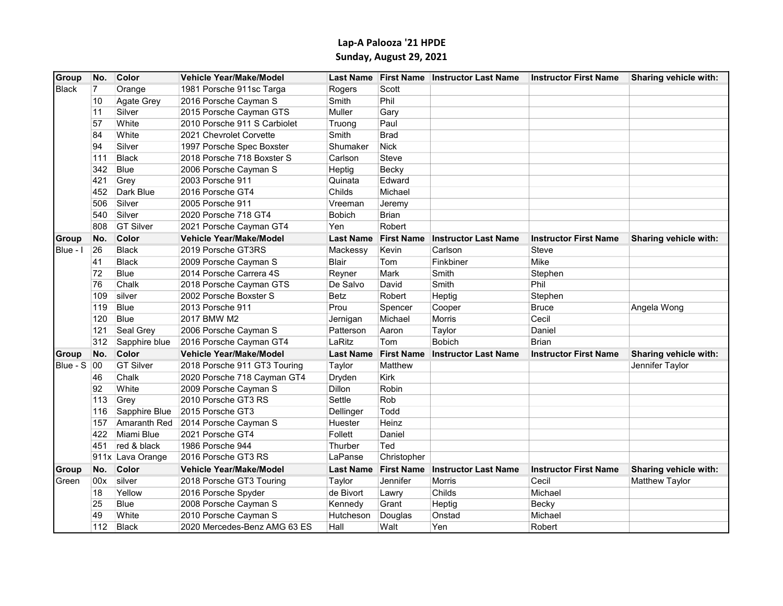## Lap-A Palooza '21 HPDE Sunday, August 29, 2021

| Group              | No.            | Color            | <b>Vehicle Year/Make/Model</b> |                  | Last Name First Name | <b>Instructor Last Name</b> | <b>Instructor First Name</b> | Sharing vehicle with: |
|--------------------|----------------|------------------|--------------------------------|------------------|----------------------|-----------------------------|------------------------------|-----------------------|
| <b>Black</b>       | $\overline{7}$ | Orange           | 1981 Porsche 911sc Targa       | Rogers           | Scott                |                             |                              |                       |
|                    | 10             | Agate Grey       | 2016 Porsche Cayman S          | Smith            | Phil                 |                             |                              |                       |
|                    | 11             | Silver           | 2015 Porsche Cayman GTS        | Muller           | Gary                 |                             |                              |                       |
|                    | 57             | White            | 2010 Porsche 911 S Carbiolet   | Truong           | Paul                 |                             |                              |                       |
|                    | 84             | White            | 2021 Chevrolet Corvette        | Smith            | <b>Brad</b>          |                             |                              |                       |
|                    | 94             | Silver           | 1997 Porsche Spec Boxster      | Shumaker         | <b>Nick</b>          |                             |                              |                       |
|                    | 111            | <b>Black</b>     | 2018 Porsche 718 Boxster S     | Carlson          | Steve                |                             |                              |                       |
|                    | 342            | <b>Blue</b>      | 2006 Porsche Cayman S          | Heptig           | Becky                |                             |                              |                       |
|                    | 421            | Grey             | 2003 Porsche 911               | Quinata          | Edward               |                             |                              |                       |
|                    | 452            | Dark Blue        | 2016 Porsche GT4               | Childs           | Michael              |                             |                              |                       |
|                    | 506            | Silver           | 2005 Porsche 911               | Vreeman          | Jeremy               |                             |                              |                       |
|                    | 540            | Silver           | 2020 Porsche 718 GT4           | <b>Bobich</b>    | <b>Brian</b>         |                             |                              |                       |
|                    | 808            | <b>GT Silver</b> | 2021 Porsche Cayman GT4        | Yen              | Robert               |                             |                              |                       |
| <b>Group</b>       | No.            | Color            | Vehicle Year/Make/Model        | <b>Last Name</b> | <b>First Name</b>    | <b>Instructor Last Name</b> | <b>Instructor First Name</b> | Sharing vehicle with: |
| Blue - I           | 26             | <b>Black</b>     | 2019 Porsche GT3RS             | Mackessy         | Kevin                | Carlson                     | Steve                        |                       |
|                    | 41             | <b>Black</b>     | 2009 Porsche Cayman S          | <b>Blair</b>     | Tom                  | Finkbiner                   | Mike                         |                       |
|                    | 72             | Blue             | 2014 Porsche Carrera 4S        | Reyner           | Mark                 | Smith                       | Stephen                      |                       |
|                    | 76             | Chalk            | 2018 Porsche Cayman GTS        | De Salvo         | David                | Smith                       | Phil                         |                       |
|                    | 109            | silver           | 2002 Porsche Boxster S         | <b>Betz</b>      | Robert               | Heptig                      | Stephen                      |                       |
|                    | 119            | Blue             | 2013 Porsche 911               | Prou             | Spencer              | Cooper                      | <b>Bruce</b>                 | Angela Wong           |
|                    | 120            | Blue             | 2017 BMW M2                    | Jernigan         | Michael              | Morris                      | Cecil                        |                       |
|                    | 121            | Seal Grey        | 2006 Porsche Cayman S          | Patterson        | Aaron                | Taylor                      | Daniel                       |                       |
|                    | 312            | Sapphire blue    | 2016 Porsche Cayman GT4        | LaRitz           | Tom                  | <b>Bobich</b>               | <b>Brian</b>                 |                       |
| Group              | No.            | Color            | <b>Vehicle Year/Make/Model</b> | <b>Last Name</b> | <b>First Name</b>    | <b>Instructor Last Name</b> | <b>Instructor First Name</b> | Sharing vehicle with: |
| <b>Blue - S 00</b> |                | <b>GT Silver</b> | 2018 Porsche 911 GT3 Touring   | Taylor           | Matthew              |                             |                              | Jennifer Taylor       |
|                    | 46             | Chalk            | 2020 Porsche 718 Cayman GT4    | Dryden           | Kirk                 |                             |                              |                       |
|                    | 92             | White            | 2009 Porsche Cayman S          | <b>Dillon</b>    | Robin                |                             |                              |                       |
|                    | 113            | Grey             | 2010 Porsche GT3 RS            | Settle           | Rob                  |                             |                              |                       |
|                    | 116            | Sapphire Blue    | 2015 Porsche GT3               | Dellinger        | Todd                 |                             |                              |                       |
|                    | 157            | Amaranth Red     | 2014 Porsche Cayman S          | Huester          | Heinz                |                             |                              |                       |
|                    | 422            | Miami Blue       | 2021 Porsche GT4               | Follett          | Daniel               |                             |                              |                       |
|                    | 451            | red & black      | 1986 Porsche 944               | Thurber          | Ted                  |                             |                              |                       |
|                    |                | 911x Lava Orange | 2016 Porsche GT3 RS            | LaPanse          | Christopher          |                             |                              |                       |
| Group              | No.            | Color            | <b>Vehicle Year/Make/Model</b> | <b>Last Name</b> | <b>First Name</b>    | <b>Instructor Last Name</b> | <b>Instructor First Name</b> | Sharing vehicle with: |
| Green              | 00x            | silver           | 2018 Porsche GT3 Touring       | Taylor           | Jennifer             | Morris                      | Cecil                        | Matthew Taylor        |
|                    | 18             | Yellow           | 2016 Porsche Spyder            | de Bivort        | Lawry                | Childs                      | Michael                      |                       |
|                    | 25             | <b>Blue</b>      | 2008 Porsche Cayman S          | Kennedy          | Grant                | Heptig                      | Becky                        |                       |
|                    | 49             | White            | 2010 Porsche Cayman S          | Hutcheson        | Douglas              | Onstad                      | Michael                      |                       |
|                    | 112            | <b>Black</b>     | 2020 Mercedes-Benz AMG 63 ES   | Hall             | Walt                 | Yen                         | Robert                       |                       |